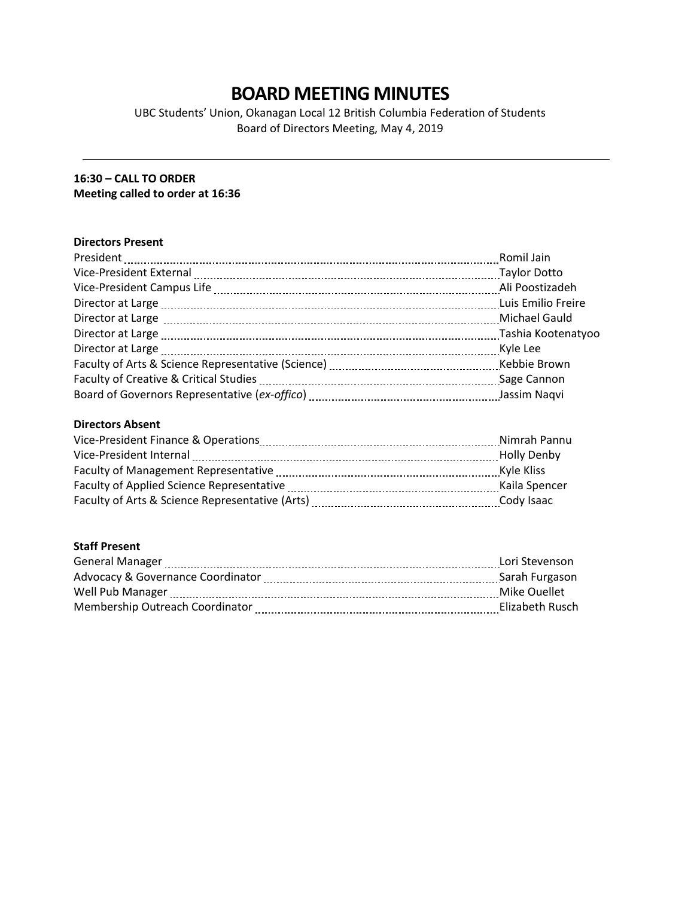# **BOARD MEETING MINUTES**

UBC Students' Union, Okanagan Local 12 British Columbia Federation of Students Board of Directors Meeting, May 4, 2019

# **16:30 – CALL TO ORDER Meeting called to order at 16:36**

# **Directors Present**

|                                                                                                               | Romil Jain         |
|---------------------------------------------------------------------------------------------------------------|--------------------|
| Vice-President External [111] Vice-President External [111] Manuschill (2011] May June 2011 and May June 2011 |                    |
|                                                                                                               | Ali Poostizadeh    |
|                                                                                                               | Luis Emilio Freire |
|                                                                                                               | Michael Gauld      |
|                                                                                                               | Tashia Kootenatyoo |
|                                                                                                               |                    |
|                                                                                                               | Kebbie Brown       |
|                                                                                                               |                    |
|                                                                                                               | Jassim Naqvi       |

# **Directors Absent**

| Vice-President Finance & Operations             | Nimrah Pannu  |
|-------------------------------------------------|---------------|
| Vice-President Internal                         | Holly Denby   |
| Faculty of Management Representative            | Kyle Kliss    |
| Faculty of Applied Science Representative       | Kaila Spencer |
| Faculty of Arts & Science Representative (Arts) | Cody Isaac    |

# **Staff Present**

| <b>General Manager</b>            | Lori Stevenson  |
|-----------------------------------|-----------------|
| Advocacy & Governance Coordinator | Sarah Furgason  |
| Well Pub Manager                  | Mike Ouellet    |
| Membership Outreach Coordinator   | Elizabeth Rusch |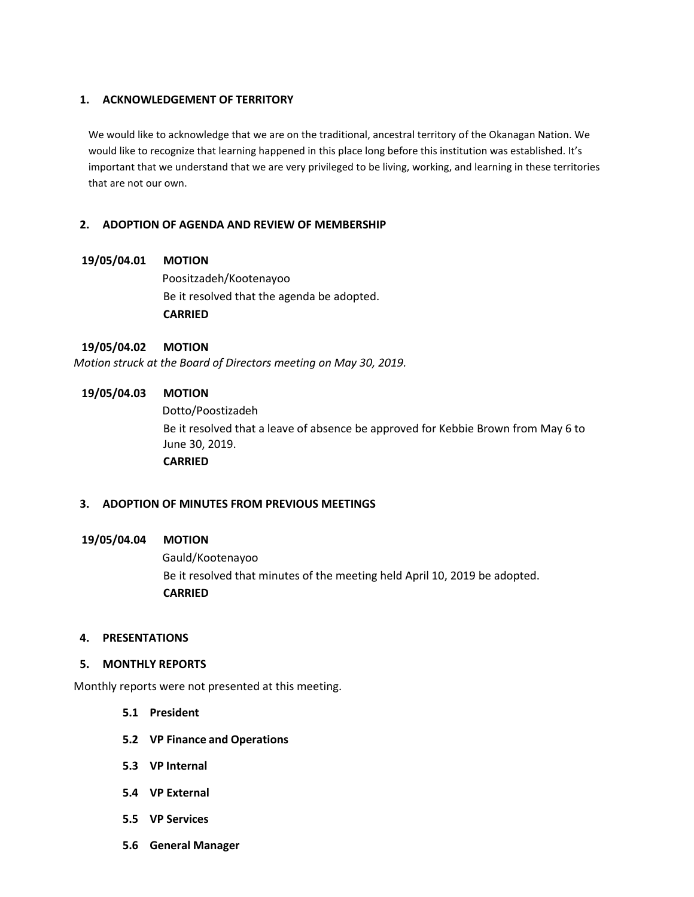#### **1. ACKNOWLEDGEMENT OF TERRITORY**

We would like to acknowledge that we are on the traditional, ancestral territory of the Okanagan Nation. We would like to recognize that learning happened in this place long before this institution was established. It's important that we understand that we are very privileged to be living, working, and learning in these territories that are not our own.

## **2. ADOPTION OF AGENDA AND REVIEW OF MEMBERSHIP**

## **19/05/04.01 MOTION**

Poositzadeh/Kootenayoo Be it resolved that the agenda be adopted. **CARRIED**

# **19/05/04.02 MOTION**

*Motion struck at the Board of Directors meeting on May 30, 2019.* 

# **19/05/04.03 MOTION**

Dotto/Poostizadeh Be it resolved that a leave of absence be approved for Kebbie Brown from May 6 to June 30, 2019. **CARRIED**

# **3. ADOPTION OF MINUTES FROM PREVIOUS MEETINGS**

#### **19/05/04.04 MOTION**

Gauld/Kootenayoo Be it resolved that minutes of the meeting held April 10, 2019 be adopted. **CARRIED**

#### **4. PRESENTATIONS**

#### **5. MONTHLY REPORTS**

Monthly reports were not presented at this meeting.

- **5.1 President**
- **5.2 VP Finance and Operations**
- **5.3 VP Internal**
- **5.4 VP External**
- **5.5 VP Services**
- **5.6 General Manager**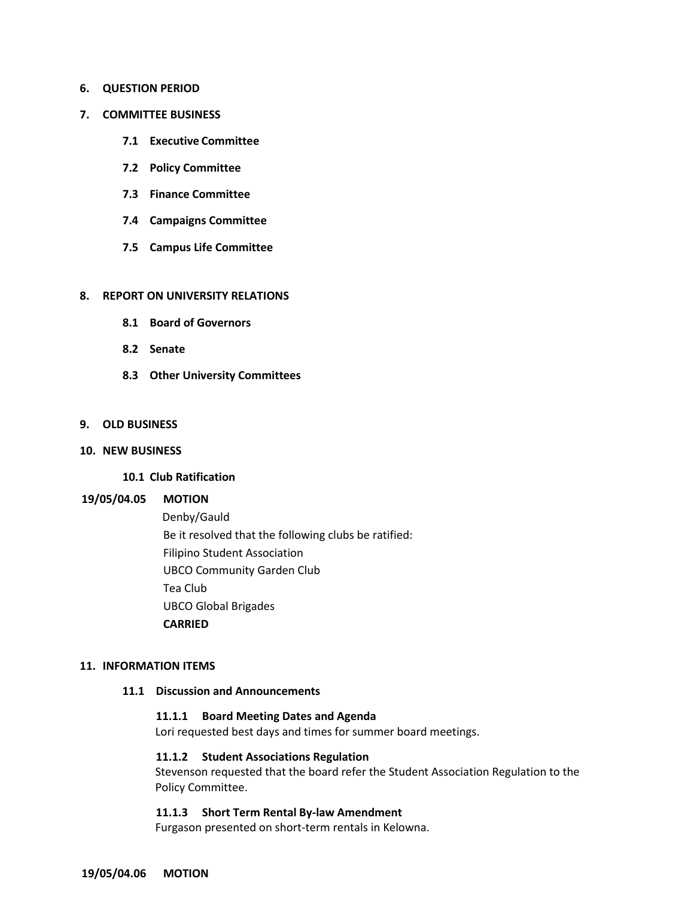#### **6. QUESTION PERIOD**

#### **7. COMMITTEE BUSINESS**

- **7.1 Executive Committee**
- **7.2 Policy Committee**
- **7.3 Finance Committee**
- **7.4 Campaigns Committee**
- **7.5 Campus Life Committee**

#### **8. REPORT ON UNIVERSITY RELATIONS**

- **8.1 Board of Governors**
- **8.2 Senate**
- **8.3 Other University Committees**

#### **9. OLD BUSINESS**

#### **10. NEW BUSINESS**

#### **10.1 Club Ratification**

#### **19/05/04.05 MOTION**

Denby/Gauld Be it resolved that the following clubs be ratified: Filipino Student Association UBCO Community Garden Club Tea Club UBCO Global Brigades **CARRIED**

#### **11. INFORMATION ITEMS**

#### **11.1 Discussion and Announcements**

#### **11.1.1 Board Meeting Dates and Agenda**

Lori requested best days and times for summer board meetings.

#### **11.1.2 Student Associations Regulation**

Stevenson requested that the board refer the Student Association Regulation to the Policy Committee.

## **11.1.3 Short Term Rental By-law Amendment**

Furgason presented on short-term rentals in Kelowna.